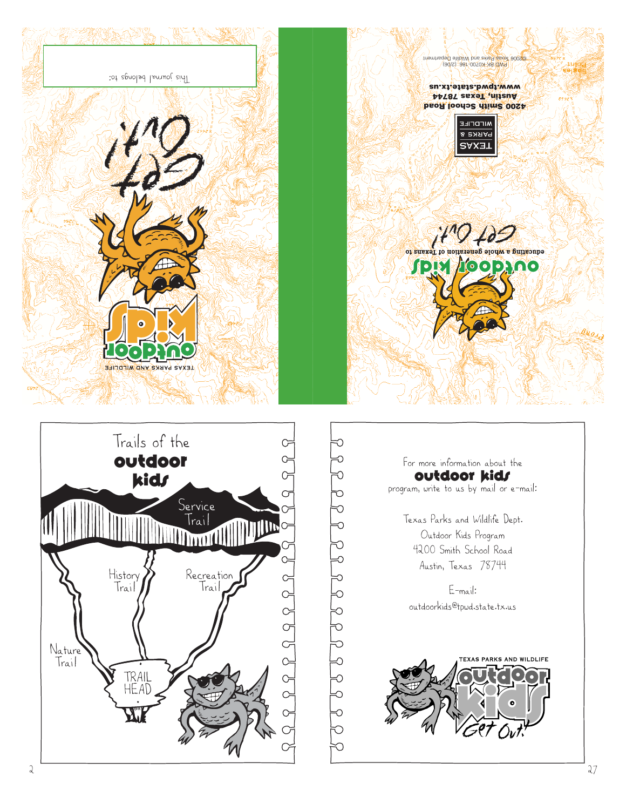

9<br>9<br>9<br>9<br>9<br>9 20202222222222

For more information about the outdoor kids program, write to us by mail or e-mail:

> Texas Parks and Wildlife Dept. Outdoor Kids Program 4200 Smith School Road Austin, Texas 78744

E-mail: outdoorkids@tpwd.state.tx.us







**4200 Smith School Road Austin, Texas 78744** www.tpwd.state.tx.us

PWD BK K0700-186 (2/06) ©2006 Texas Parks and Wildlife Department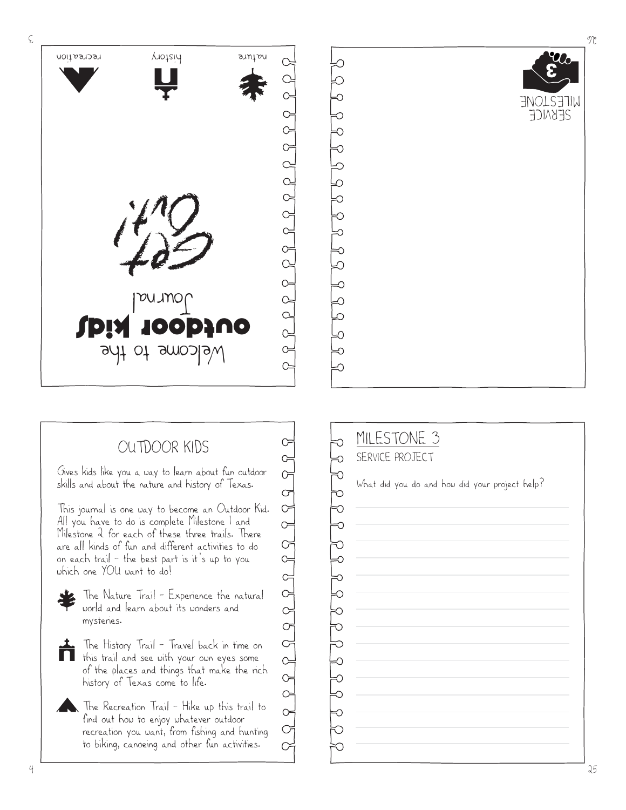

Œ G  $\sigma$ 

 $\sigma$  $\sigma$  $\circ$ 

 $\circ$  $\subsetneq$  $\widetilde{\phantom{C}}$ 

## OUTDOOR KIDS

Gives kids like you a way to learn about fun outdoor skills and about the nature and history of Texas.

This journal is one way to become an Outdoor Kid. All you have to do is complete Milestone 1 and Milestone 2 for each of these three trails. There are all kinds of fun and different activities to do on each trail — the best part is it's up to you which one YOU want to do!

The Nature Trail – Experience the natural world and learn about its wonders and mysteries.

- ń. The History Trail – Travel back in time on this trail and see with your own eyes some of the places and things that make the rich history of Texas come to life.
	- The Recreation Trail Hike up this trail to find out how to enjoy whatever outdoor recreation you want, from fishing and hunting to biking, canoeing and other fun activities.

MILESTONE 3 SERVICE PROJECT ರ ರ ರ What did you do and how did your project help? りりうろうりりろ  $\overline{C}$ ⊸<br>ರ Ő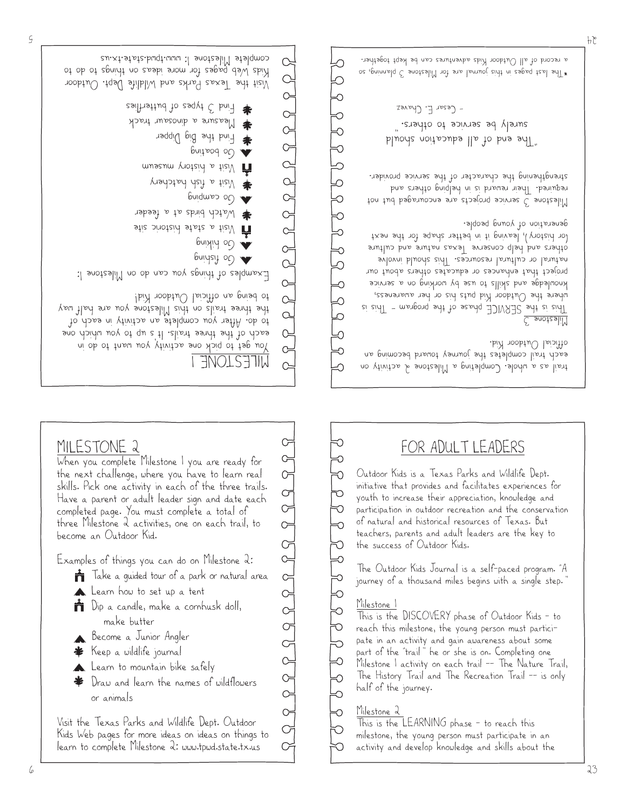MILESTONE 2

become an Outdoor Kid.

When you complete Milestone 1 you are ready for the next challenge, where you have to learn real skills. Pick one activity in each of the three trails. Have a parent or adult leader sign and date each completed page. You must complete a total of three Milestone 2 activities, one on each trail, to

Examples of things you can do on Milestone 2:

**T** Dip a candle, make a cornhusk doll,

Learn to mountain bike safely Draw and learn the names of wildflowers

Visit the Texas Parks and Wildlife Dept. Outdoor Kids Web pages for more ideas on ideas on things to learn to complete Milestone 2: www.tpwd.state.tx.us

**Learn** how to set up a tent

make butter Become a Junior Angler Keep a wildlife journal

or animals

 $\mathbf{\dot{m}}$  Take a guided tour of a park or natural area



<u>Milestone</u> 2 This is the LEARNING phase – to reach this

This is the DISCOVERY phase of Outdoor Kids – to reach this milestone, the young person must participate in an activity and gain awareness about some part of the "trail" he or she is on. Completing one Milestone 1 activity on each trail –– The Nature Trail, The History Trail and The Recreation Trail –– is only half of the journey.

milestone, the young person must participate in an activity and develop knowledge and skills about the

## Milestone 1

The Outdoor Kids Journal is a self-paced program. "A journey of a thousand miles begins with a single step.

Outdoor Kids is a Texas Parks and Wildlife Dept. initiative that provides and facilitates experiences for youth to increase their appreciation, knowledge and participation in outdoor recreation and the conservation of natural and historical resources of Texas. But teachers, parents and adult leaders are the key to the success of Outdoor Kids.

## FOR ADULT LEADERS

Measure a dinosaur track Find the Big Dipper Go boating Musik a history museum Visit a fish hatchery Go camping Watch birds at a feeder  $\hat{\mathbf{y}}$  Visit a state historic site Go hiking  $6$ uiysiy o $O \blacktriangleright$ Examples of things you can do on Milestone 1: to being an official Outdoor Kid!  $P$ the three trails on this Milestone you are half way to do. After you complete an activity in each of  $Q =$ each of the three trails. It s up to you which one You get to pick one activity you want to do in  $C =$ MILESTONE 1  $\circ$ 

Find 3 types of butterflies

complete Milestone 1: www.tpwd.state.tx.us

 $\alpha$ 

 $\sigma$  $\infty$  $\circ$ 

 $\alpha$ 

 $\circ$ 

 $P \nsubseteq P \nsubseteq P \nsubseteq P \nsubseteq P \nsubseteq P$ 

 $\begin{array}{c} \nabla \cdot \mathbf{r} \quad \text{and} \quad \mathbf{r} \quad \text{and} \quad \mathbf{r} \quad \text{and} \quad \mathbf{r} \quad \text{and} \quad \mathbf{r} \quad \text{and} \quad \mathbf{r} \quad \text{and} \quad \mathbf{r} \quad \text{and} \quad \mathbf{r} \quad \text{and} \quad \mathbf{r} \quad \text{and} \quad \mathbf{r} \quad \text{and} \quad \mathbf{r} \quad \text{and} \quad \mathbf{r} \quad \text{and} \quad \mathbf{r} \quad \text{and} \quad \mathbf{r} \quad \text{and$ 

∝

₩

Q

ᢒ

ல

Visit the Texas Parks and Wildlife Dept. Outdoor Kids Web pages for more ideas on things to do to

5

trail as a whole. Completing a Milestone 2 activity on each trail completes the journey toward becoming an official Outdoor Kid.

## <u>C snoteslil</u>

This is the SERVICE phase of the program – This is where the Uutdoor Kid puts his or her awareness, knowledge and skills to use by working on a service project that enhances or educates others about our natural or cultural resources. This should involve others and help conserve lexas nature and culture (or history), leaving it in better shape for the next generation of young people.

Milestone 3 service projects are encouraged but not required. Iheir reward is in helping others and strengthening the character of the service provider.

"The end of all education should surely be service to others." – Cesar E. Chavez

\*The last pages in this journal are for Milestone 3 planning, so a record of all Outdoor Kids adventures can be kept together.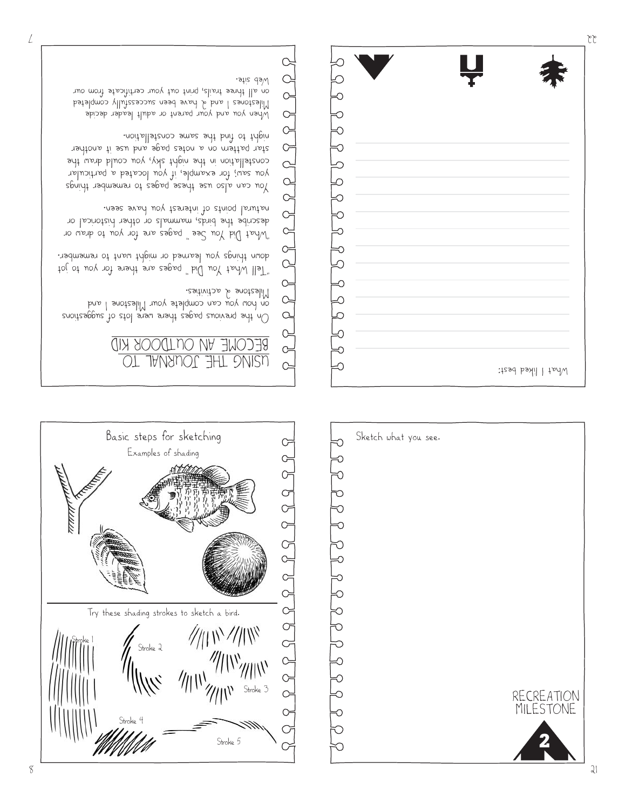





On the previous pages there were lots of suggestions on how you can complete your Milestone I and Milestone a activities.

"Tell What You Did" pages are there for you to jot down things you learned or might want to remember.

"What Did You See" pages are for you to draw or describe the birds, mammals or other historical or natural points of interest you have seen.

You can also use these pages to remember things you saw; for example, if you located a particular constellation in the night sky, you could draw the star pattern on a notes page and use it another night to find the same constellation.

When you and your parent or adult leader decide Milestones 1 and 2 have been successfully completed on all three trails, print out your certificate from our Web site. C

 $\sigma$  $\subset$  $\circ$  $\subset$  $\rightarrow$ 

 $R$ 

 $P$  $P$  $P$  $R$ 

 $\sqrt{3}$ Q What I liked best:

 $22$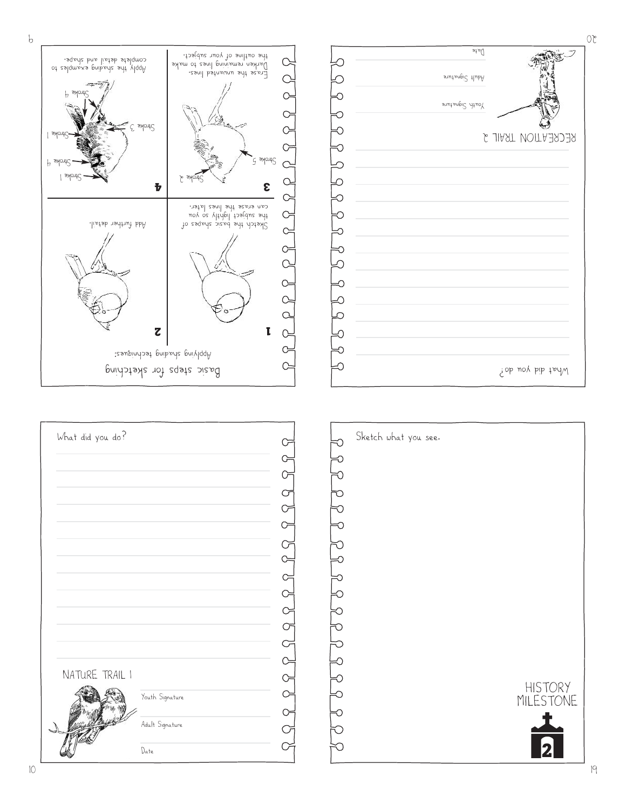| What did you do? |                 |           | Sketch what you : |
|------------------|-----------------|-----------|-------------------|
|                  |                 |           |                   |
|                  |                 | Œ         |                   |
|                  |                 | $\sigma$  |                   |
|                  |                 | Œ         |                   |
|                  |                 | $\subset$ |                   |
|                  |                 | ☞         |                   |
|                  |                 |           |                   |
|                  |                 |           |                   |
|                  |                 |           |                   |
|                  |                 |           |                   |
|                  |                 |           |                   |
|                  |                 |           |                   |
|                  |                 |           |                   |
| NATURE TRAIL I   |                 |           |                   |
|                  | Youth Signature | Ċ         |                   |
|                  |                 |           |                   |
|                  | Adult Signature |           |                   |
|                  | Date            |           |                   |
|                  |                 |           |                   |







19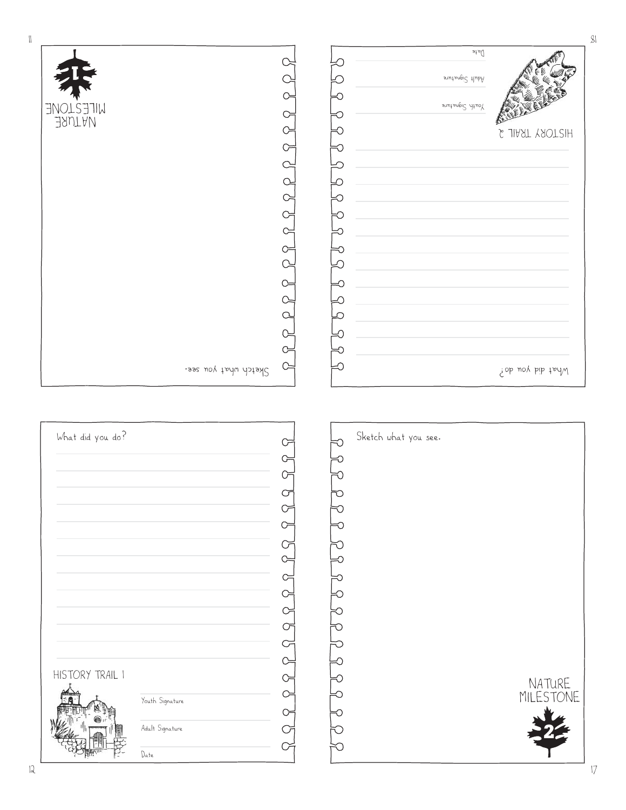| What did you do? |                 |           | Sketch what you see. |
|------------------|-----------------|-----------|----------------------|
|                  |                 |           |                      |
|                  |                 |           |                      |
|                  |                 | Œ         |                      |
|                  |                 | ( )       |                      |
|                  |                 |           |                      |
|                  |                 | $\sigma$  |                      |
|                  |                 | $\subset$ |                      |
|                  |                 |           |                      |
|                  |                 |           |                      |
|                  |                 |           |                      |
|                  |                 | Œ         |                      |
|                  |                 |           |                      |
|                  |                 |           |                      |
| HISTORY TRAIL I  |                 |           |                      |
|                  | Youth Signature | Œ         |                      |
|                  |                 |           |                      |
|                  | Adult Signature |           |                      |
|                  | Date            |           |                      |

| $\cdot$       |
|---------------|
|               |
| $\mathcal{C}$ |
| ∋             |
| ℶ             |
| ↷             |
| ⊇             |
| C<br>C        |
|               |
| ን             |
| À             |
|               |
|               |
| ો             |
|               |

 $\infty$ 

 $C =$  $\circ$ 

Sketch what you see.

 $\lvert \lvert$ 



**2**

NATURE MILESTONE